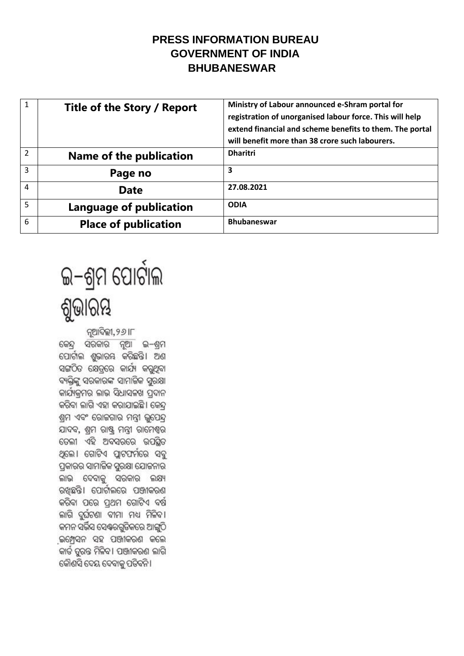## **PRESS INFORMATION BUREAU GOVERNMENT OF INDIA BHUBANESWAR**

| $\mathbf{1}$   | Title of the Story / Report | Ministry of Labour announced e-Shram portal for<br>registration of unorganised labour force. This will help<br>extend financial and scheme benefits to them. The portal<br>will benefit more than 38 crore such labourers. |
|----------------|-----------------------------|----------------------------------------------------------------------------------------------------------------------------------------------------------------------------------------------------------------------------|
| $\overline{2}$ | Name of the publication     | <b>Dharitri</b>                                                                                                                                                                                                            |
| 3              | Page no                     | 3                                                                                                                                                                                                                          |
| 4              | <b>Date</b>                 | 27.08.2021                                                                                                                                                                                                                 |
| 5              | Language of publication     | <b>ODIA</b>                                                                                                                                                                                                                |
| 6              | <b>Place of publication</b> | <b>Bhubaneswar</b>                                                                                                                                                                                                         |



ନ୍ଥାଦିଲ୍ଲୀ, ୨*୬* IF କେନ୍ଦ୍ର ସରକାର ନୂଆ ଇ–ଶ୍ରମ ପୋର୍ଟାଲ ଶ୍ୱଭାରୟ କରିଛନ୍ତି। ଅଶ ସଙ୍ଗଠିତ କ୍ଷେତ୍ରରେ କାର୍ଯ୍ୟ କରୁଥିବା ବ୍ୟକ୍ତିଙ୍କୁ ସରକାରଙ୍କ ସାମାଜିକ ସ୍ତରକ୍ଷା କାର୍ଯ୍ୟକମର ଲାଭ ସିଧାସଳଖ ପଦାନ କରିବା ଲାଗି ଏହା କରାଯାଇଛି। କେନ୍ଦ ଶ୍ରମ ଏବଂ ରୋଜଗାର ମନ୍ତ୍ରୀ ଭୂପେନ୍ଦ୍ର ଯାଦବ, ଶ୍ରମ ରାଷ୍ଟ୍ର ମନ୍ତ୍ରୀ ରାମେଶ୍ୱର ତେଲୀ ଏହି ଅବସରରେ ଉପସିତ ଥିଲେ। ଗୋଟିଏ ପ୍ଲାଟଫର୍ମରେ ସବୁ ପ୍ରକାରର ସାମାଜିକ ସୁରକ୍ଷା ଯୋଜନାର ଲାଭ ଦେବାକୁ ସରକାର ଲକ୍ଷ୍ୟ ରଖଛନ୍ତି। ପୋର୍ଟାଲରେ ପଞ୍ଜୀକରଣ କରିବା ପରେ ପ୍ରଥମ ଗୋଟିଏ ବର୍ଷ ଲାଗି ଦୁର୍ଘଟଣା ବୀମା ମଧ୍ୟ ମିଳିବୀ କମନ ସର୍ଭିସ ସେଶ୍ୱରଗ୍ୱତିକରେ ଆଙ୍ଗୁଠି ଇମ୍ପେସନ ସହ ପଞ୍ଜୀକରଣ କଲେ କାର୍ଡ ତୁରନ୍ତ ମିଳିବ । ପଞ୍ଜୀକରଣ ଲାଗି କୌଣସି ଦେୟ ଦେବାକୁ ପତିବନି ।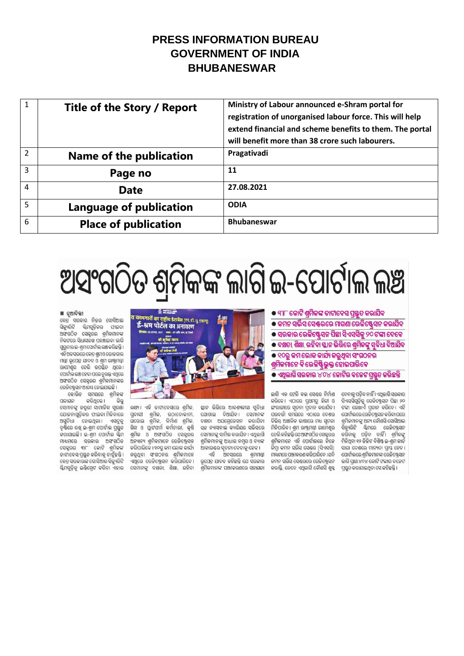### PRESS INFORMATION BURFAU **GOVERNMENT OF INDIA BHUBANESWAR**

| 1              | Title of the Story / Report | Ministry of Labour announced e-Shram portal for<br>registration of unorganised labour force. This will help<br>extend financial and scheme benefits to them. The portal<br>will benefit more than 38 crore such labourers. |
|----------------|-----------------------------|----------------------------------------------------------------------------------------------------------------------------------------------------------------------------------------------------------------------------|
| $\mathfrak{p}$ | Name of the publication     | Pragativadi                                                                                                                                                                                                                |
| 3              | Page no                     | 11                                                                                                                                                                                                                         |
| 4              | <b>Date</b>                 | 27.08.2021                                                                                                                                                                                                                 |
| 5              | Language of publication     | <b>ODIA</b>                                                                                                                                                                                                                |
| 6              | <b>Place of publication</b> | <b>Bhubaneswar</b>                                                                                                                                                                                                         |

# ଅସଂଗଠିତ ଶ୍ରମିକଙ୍କ ଲାଗି ଇ-ପୋର୍ଟାଲ ଲଞ୍ଚ

#### ■ ନଆଦିଲ୍ଲୀ

— ନୁପାଏ ।<br>କେନ୍ଦ୍ର ସରକାର ନିଜର ସୋସିଆଲ<br>ସିକ୍ୟୁରିଟି ଷ୍ଟିମଗୁଡ଼ିକର ଫାଇଦା ଅସଂଗଠିତ ସେକ୍ଟରର ଶ୍ରମିକମାନଙ୍କ ବିକଟରେ ପିଧାପକ୍ଷ ପ୍ରବଞ୍ଚାଇବା କାଗି ଗୁରୁବାର ଇ-ଶ୍ରମପୋର୍ଟାଲ ଲଞ୍ଚ କରିଛନ୍ତି । ଏହି ଅବସରରେ କେନ୍ଦ୍ର ଶ୍ରମଓ ରୋଜଗାର ମନ୍ତ୍ରୀ ଭୂପେନ୍ଦ୍ର ଯାଦବ ଓ ଶ୍ରମ ରାଷ୍ଟ୍ରମନ୍ତ୍ରୀ ରାମେଶ୍ୱର ତେଲି ଉପସ୍ଥିତ ଥିଲେ। ପୋର୍ଟାଲ ଲଞ୍ଚ ହେବା ପରେ ତୁରନ୍ତ ଏଥିରେ ଅଫଗଠିତ ସେକ୍କରର ଶମିକମାନଙ୍କର ରେଜିଷ୍ଟ୍ରେସନ ଆରମ୍ଭ ହୋଇଯାଇଛି ।

କୋଭିଡ ସମୟରେ ଶ୍ରମିକଙ୍କ କରିଥିଲେ । ମକାୟନ ି କିନ୍ତ ସେମାନଙ୍କ ଜରୁରୀ ସାମାଜିକ ସରକ୍ଷା ଯୋକନାଗୁଡ଼ିକର ଫାଇଦା ମିଳିବାରେ ଅସୁବିଧା ହୋଇଥିଲା । ଏସବୁକୁ ଦୃଷ୍ଟିରେ ରଖି ଇ-ଶ୍ରମ ପୋର୍ଟାଲ ପ୍ରସ୍ତୁତ କରାଯାଇଛି। ଇ-ଶ୍ରମ ପୋର୍ଟାଲ ସ୍କିମ ମାଧ୍ୟମରେ ସରକାର ଅସଂଗଠିତ ସେକ୍ରର ୩୮ କୋଟି ଶ୍ରମିକଙ୍କ ଡାଟାବେସ ପ୍ରସ୍ତୁତ କରିବାକୁ ଚାହୁଁଛନ୍ତି । କେନ୍ଦ୍ର ସରକାରଙ୍କ ସୋସିଆଲ ସିକ୍ୟୁରିଟି ଏଥିରେ ରେକିଷ୍ଟ୍ରେସନ କରିପାରିବେ । ଭୂପେନ୍ଦ୍ର ଯାଦବ କହିଛନ୍ତି ଯେ ସରକାର ୟିମଗୁଡ଼ିକୁ ଇଣ୍ଟିଗ୍ରେଟ କରିବା ଏହାର ସେମାନଙ୍କୁ ଦକ୍ଷତା, ଶିକ୍ଷା, ରହିବା ଶ୍ରମିକମାନଙ୍କ ପଞ୍ଜୀକରଣରେ ସହାୟତା



ଲକ୍ଷ୍ୟ । ଏହି ଡାଟାବେସରେ ଶ୍ରମିକ, ସବାସୀ ଶ୍ରମିକ, ଉଠାଦୋକାନୀ, ଘରୋଇ ଶ୍ରମିକ, ନିର୍ମାଣ ଶ୍ରମିକ, ଗିଗ ଓ ପ୍ରାଟଫର୍ମ କର୍ମଚାରୀ, କ୍ଷି ସହ ନ୍ୟାସନାଲ କ୍ୟାରିୟର ସର୍ଭିସରେ ିଶ୍ରମିକ ଓ ଅଫଗଠିତ ସେକ୍ଟରର ସେମାନଙ୍କୁ ସାମିଲକରାଯିବ । ଏଥିଲାଗି<br>ଅନ୍ୟାନ୍ୟ ଶ୍ରମିକମାନେ ରେକିଷ୍ଟ୍ରେସନ ଶ୍ରମିକମାନଙ୍କୁ ଆଧାର ନମ୍ବର ଓ ବ୍ୟାଙ୍କ କରିପାରିବେ । ୧୦ରୁ କମ ଲୋକ କାର୍ଯ୍ୟ ଆକାଉଣ୍ଟର ସୂଚନା ଦେବାକୁ ହେବ । କରୁଥିବା ସଂଗଠନର ଶ୍ରମିକମାନେ

ସ୍ଥାନ ଭିରିରେ ଆବଶ୍ୟକୀୟ ସ୍ୱବିଧା ୍କଳ ରକ୍ଷରେ ସାଦ୍ଧାଳାରେ ଦୁବସା<br>ଯୋଗାଇ ଦିଆଯିବ । ସେମାନଙ୍କ<br>ଦକ୍ଷତା ଅପଗେଡେସନ କରାଯିବା ଶ୍ରମିକମାନଙ୍କୁ ଆଧାର ନମ୍ବର ଓ ବ୍ୟାଙ୍କ

ଏହି ଅବସରରେ ଶ୍ରମମନ୍ତୀ

● ୩୮ କୋଟି ଶ୍**ମିକଙ୍କ ଡାଟାବେସ ପ୍ର**ଷ୍ତୁତ କରାଯିବ

<mark>● କମନ ସର୍ଭିସ ସେଣ୍ଟରରେ ମାଗଣା ରେଜିଷ୍ଟେସନ କରାଯିବ</mark>

**● ସରକାର ରେଜିଷ୍ଟେସନ ପିଛା ସିଏସସିକୁ ୨୦ ଟଙ୍କା ଦେବେ** 

● ଦକ୍ଷତା, ଶିକ୍ଷା, ରହିବା ସ୍ଥାନ ଭିତ୍ତିରେ ଶ୍ରମିକଙ୍କୁ ସବିଧା ଦିଆଯିବ

● ୧୦ରୁ କମ ଲୋକ କାର୍ଯ୍ୟ କରୁଥିବା ସଂଗଠନର ଶ୍ରମିକମାନେ ବି ରେଜିଷ୍ଟିଭୁକ୍ତ ହୋଇପାରିବେ

● ଏଥିଲାଗି ସରକାର ୪୦୪ କୋଟିର ବଳେଟ ପ୍ରସ୍ତୁତ କରିଛନ୍ତି

ଲାଗି ଏକ ଟେଲି କଲ ସେଣ୍ଟର ନିର୍ମାଣ କରିବେ । ଏଠାରେ ପଥମର ହିନ୍ଦୀ ଓ ଙ୍ଗରାଜୀରେ ସଚନା ପଦାନ କରାଯିବ । ପରବର୍ତ୍ତୀ ସମୟରେ ଏଠାରେ ଦେଶର ବିଭିନ୍ନ ଆଞ୍ଚଳିକ ଭାଷାରେ ମଧ୍ୟ ସଚନା ମିଳିପାରିବ । ଶମ ରାଷ୍ଟ୍ରମନ୍ତ୍ରୀ ରାମେଶର ତେଲି କହିଛନ୍ତି ଯେ ଅସଂଗଠିତ ସେକ୍ଟରର ଶମିକମାନେ ଏହି ପୋର୍ଟାଲରେ ନିଜେ କିମ୍ବା କମନ ସର୍ଭିସ ସେଣ୍ଟର (ସିଏସସି) ମାଧ୍ୟମରେ ପଞ୍ଜୀକରଣ କରିପାରିବେ ।ଯଦି କମନ ସର୍ଭିସ ସେଣ୍ଟରରେ ରେଳିଷ୍ଟେସନ କରାନ୍ତି, ତେବେ ଏଥିଲାଗି କୌଶସି ଶୁକ୍କ

ଦେବାକୁ ପଡ଼ିବ ନାହିଁ । ଏଥିଲାଗି ସରକାର ସିଏସସିଗୁଡ଼ିକୁ ରେଜିଷ୍ଟ୍ରେସନ ପିଛା ୨୦ ଟଙ୍କା ଲେଖାଏଁ ପଦାନ କରିବେ। ଏହି ପୋର୍ଟାଲରେ ରେଜିଷ୍ଟ୍ରେସନ କରିବା ପରେ ଶ୍ରମିକମାନଙ୍କୁ ଅନ୍ୟ କୌଣସି ସୋସିଆଲ ସିକ୍ୟରିଟି ସ୍କିମରେ ରେ<del>ଜିଷ୍ଟ</del>୍ରେସନ କରିବାକୁ ପଡ଼ିବ ନାହିଁ। ଶ୍ରମିକଙ୍କୁ ମିଳିଥିବା ୧୨ ଡିଜିଟ ବିଶିଷ୍ଟ ଇ-ଶ୍ରମ କାର୍ଡ ସାରା ଦେଶରେ ମାନ୍ୟତା ପ୍ରାସ୍ତ ହେବ । ପୋର୍ଟାଲରେ ଶ୍ରମିକମାନଙ୍କ ରେଜିଷ୍ଟ୍ରେସନ ଲାଗି ପ୍ରାୟ ୪୦୪ କୋଟି ଟଙ୍କାର ବଜେଟ ପ୍ରସ୍ତୁତ କରାଯାଇଥିବା ସେ କହିଛନ୍ତି ।